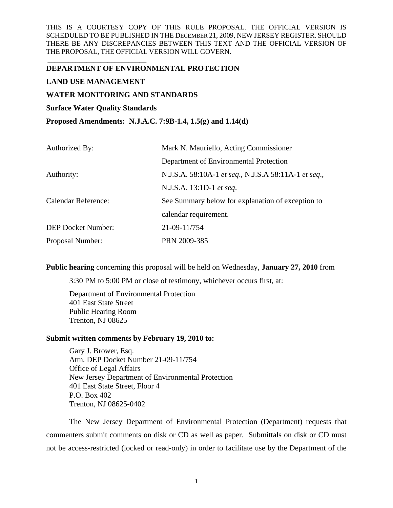# **DEPARTMENT OF ENVIRONMENTAL PROTECTION**

# **LAND USE MANAGEMENT**

\_\_\_\_\_\_\_\_\_\_\_\_\_\_\_\_\_\_\_\_\_\_\_\_\_\_\_\_

# **WATER MONITORING AND STANDARDS**

# **Surface Water Quality Standards**

**Proposed Amendments: N.J.A.C. 7:9B-1.4, 1.5(g) and 1.14(d)** 

| Authorized By:             | Mark N. Mauriello, Acting Commissioner               |
|----------------------------|------------------------------------------------------|
|                            | Department of Environmental Protection               |
| Authority:                 | N.J.S.A. 58:10A-1 et seq., N.J.S.A 58:11A-1 et seq., |
|                            | N.J.S.A. 13:1D-1 et seq.                             |
| <b>Calendar Reference:</b> | See Summary below for explanation of exception to    |
|                            | calendar requirement.                                |
| <b>DEP Docket Number:</b>  | 21-09-11/754                                         |
| Proposal Number:           | PRN 2009-385                                         |

**Public hearing** concerning this proposal will be held on Wednesday, **January 27, 2010** from

3:30 PM to 5:00 PM or close of testimony, whichever occurs first, at:

Department of Environmental Protection 401 East State Street Public Hearing Room Trenton, NJ 08625

## **Submit written comments by February 19, 2010 to:**

Gary J. Brower, Esq. Attn. DEP Docket Number 21-09-11/754 Office of Legal Affairs New Jersey Department of Environmental Protection 401 East State Street, Floor 4 P.O. Box 402 Trenton, NJ 08625-0402

The New Jersey Department of Environmental Protection (Department) requests that commenters submit comments on disk or CD as well as paper. Submittals on disk or CD must not be access-restricted (locked or read-only) in order to facilitate use by the Department of the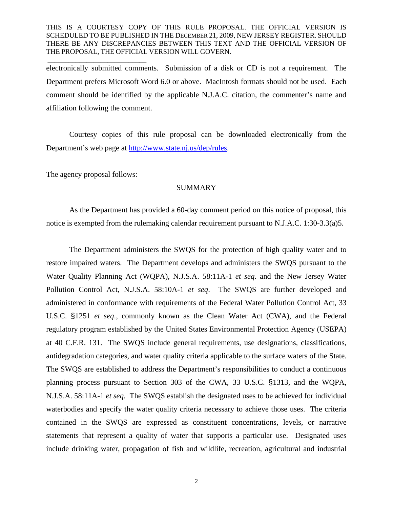electronically submitted comments. Submission of a disk or CD is not a requirement. The Department prefers Microsoft Word 6.0 or above. MacIntosh formats should not be used. Each comment should be identified by the applicable N.J.A.C. citation, the commenter's name and affiliation following the comment.

Courtesy copies of this rule proposal can be downloaded electronically from the Department's web page at http://www.state.nj.us/dep/rules.

The agency proposal follows:

\_\_\_\_\_\_\_\_\_\_\_\_\_\_\_\_\_\_\_\_\_\_\_\_\_\_\_\_

### **SUMMARY**

As the Department has provided a 60-day comment period on this notice of proposal, this notice is exempted from the rulemaking calendar requirement pursuant to N.J.A.C. 1:30-3.3(a)5.

The Department administers the SWQS for the protection of high quality water and to restore impaired waters. The Department develops and administers the SWQS pursuant to the Water Quality Planning Act (WQPA), N.J.S.A. 58:11A-1 *et seq*. and the New Jersey Water Pollution Control Act, N.J.S.A. 58:10A-1 *et seq*. The SWQS are further developed and administered in conformance with requirements of the Federal Water Pollution Control Act, 33 U.S.C. §1251 *et seq*., commonly known as the Clean Water Act (CWA), and the Federal regulatory program established by the United States Environmental Protection Agency (USEPA) at 40 C.F.R. 131. The SWQS include general requirements, use designations, classifications, antidegradation categories, and water quality criteria applicable to the surface waters of the State. The SWQS are established to address the Department's responsibilities to conduct a continuous planning process pursuant to Section 303 of the CWA, 33 U.S.C. §1313, and the WQPA, N.J.S.A. 58:11A-1 *et seq*. The SWQS establish the designated uses to be achieved for individual waterbodies and specify the water quality criteria necessary to achieve those uses. The criteria contained in the SWQS are expressed as constituent concentrations, levels, or narrative statements that represent a quality of water that supports a particular use. Designated uses include drinking water, propagation of fish and wildlife, recreation, agricultural and industrial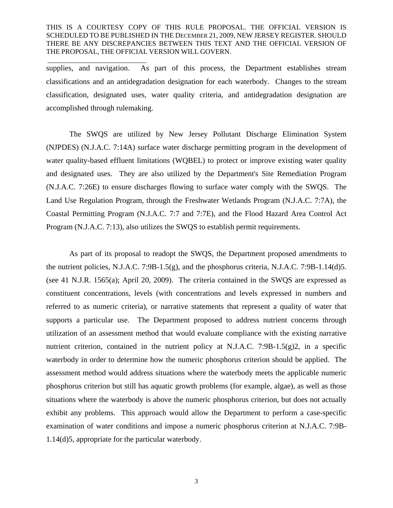\_\_\_\_\_\_\_\_\_\_\_\_\_\_\_\_\_\_\_\_\_\_\_\_\_\_\_\_

supplies, and navigation. As part of this process, the Department establishes stream classifications and an antidegradation designation for each waterbody. Changes to the stream classification, designated uses, water quality criteria, and antidegradation designation are accomplished through rulemaking.

The SWQS are utilized by New Jersey Pollutant Discharge Elimination System (NJPDES) (N.J.A.C. 7:14A) surface water discharge permitting program in the development of water quality-based effluent limitations (WQBEL) to protect or improve existing water quality and designated uses. They are also utilized by the Department's Site Remediation Program (N.J.A.C. 7:26E) to ensure discharges flowing to surface water comply with the SWQS. The Land Use Regulation Program, through the Freshwater Wetlands Program (N.J.A.C. 7:7A), the Coastal Permitting Program (N.J.A.C. 7:7 and 7:7E), and the Flood Hazard Area Control Act Program (N.J.A.C. 7:13), also utilizes the SWQS to establish permit requirements.

As part of its proposal to readopt the SWQS, the Department proposed amendments to the nutrient policies, N.J.A.C. 7:9B-1.5(g), and the phosphorus criteria, N.J.A.C. 7:9B-1.14(d)5. (see 41 N.J.R. 1565(a); April 20, 2009). The criteria contained in the SWQS are expressed as constituent concentrations, levels (with concentrations and levels expressed in numbers and referred to as numeric criteria), or narrative statements that represent a quality of water that supports a particular use. The Department proposed to address nutrient concerns through utilization of an assessment method that would evaluate compliance with the existing narrative nutrient criterion, contained in the nutrient policy at N.J.A.C. 7:9B-1.5(g)2, in a specific waterbody in order to determine how the numeric phosphorus criterion should be applied. The assessment method would address situations where the waterbody meets the applicable numeric phosphorus criterion but still has aquatic growth problems (for example, algae), as well as those situations where the waterbody is above the numeric phosphorus criterion, but does not actually exhibit any problems. This approach would allow the Department to perform a case-specific examination of water conditions and impose a numeric phosphorus criterion at N.J.A.C. 7:9B-1.14(d)5, appropriate for the particular waterbody.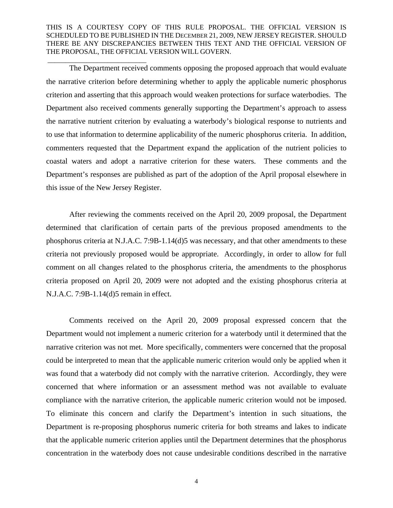\_\_\_\_\_\_\_\_\_\_\_\_\_\_\_\_\_\_\_\_\_\_\_\_\_\_\_\_

The Department received comments opposing the proposed approach that would evaluate the narrative criterion before determining whether to apply the applicable numeric phosphorus criterion and asserting that this approach would weaken protections for surface waterbodies. The Department also received comments generally supporting the Department's approach to assess the narrative nutrient criterion by evaluating a waterbody's biological response to nutrients and to use that information to determine applicability of the numeric phosphorus criteria. In addition, commenters requested that the Department expand the application of the nutrient policies to coastal waters and adopt a narrative criterion for these waters. These comments and the Department's responses are published as part of the adoption of the April proposal elsewhere in this issue of the New Jersey Register.

After reviewing the comments received on the April 20, 2009 proposal, the Department determined that clarification of certain parts of the previous proposed amendments to the phosphorus criteria at N.J.A.C. 7:9B-1.14(d)5 was necessary, and that other amendments to these criteria not previously proposed would be appropriate. Accordingly, in order to allow for full comment on all changes related to the phosphorus criteria, the amendments to the phosphorus criteria proposed on April 20, 2009 were not adopted and the existing phosphorus criteria at N.J.A.C. 7:9B-1.14(d)5 remain in effect.

Comments received on the April 20, 2009 proposal expressed concern that the Department would not implement a numeric criterion for a waterbody until it determined that the narrative criterion was not met. More specifically, commenters were concerned that the proposal could be interpreted to mean that the applicable numeric criterion would only be applied when it was found that a waterbody did not comply with the narrative criterion. Accordingly, they were concerned that where information or an assessment method was not available to evaluate compliance with the narrative criterion, the applicable numeric criterion would not be imposed. To eliminate this concern and clarify the Department's intention in such situations, the Department is re-proposing phosphorus numeric criteria for both streams and lakes to indicate that the applicable numeric criterion applies until the Department determines that the phosphorus concentration in the waterbody does not cause undesirable conditions described in the narrative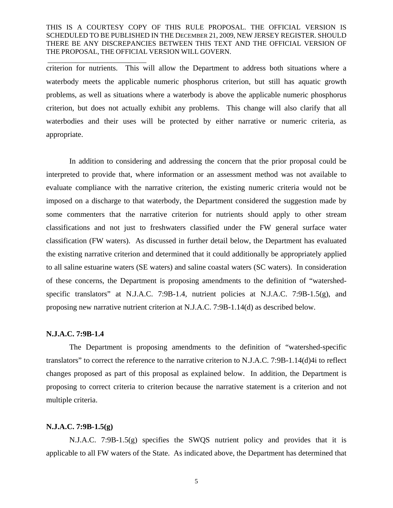criterion for nutrients. This will allow the Department to address both situations where a waterbody meets the applicable numeric phosphorus criterion, but still has aquatic growth problems, as well as situations where a waterbody is above the applicable numeric phosphorus criterion, but does not actually exhibit any problems. This change will also clarify that all waterbodies and their uses will be protected by either narrative or numeric criteria, as appropriate.

In addition to considering and addressing the concern that the prior proposal could be interpreted to provide that, where information or an assessment method was not available to evaluate compliance with the narrative criterion, the existing numeric criteria would not be imposed on a discharge to that waterbody, the Department considered the suggestion made by some commenters that the narrative criterion for nutrients should apply to other stream classifications and not just to freshwaters classified under the FW general surface water classification (FW waters). As discussed in further detail below, the Department has evaluated the existing narrative criterion and determined that it could additionally be appropriately applied to all saline estuarine waters (SE waters) and saline coastal waters (SC waters). In consideration of these concerns, the Department is proposing amendments to the definition of "watershedspecific translators" at N.J.A.C. 7:9B-1.4, nutrient policies at N.J.A.C. 7:9B-1.5(g), and proposing new narrative nutrient criterion at N.J.A.C. 7:9B-1.14(d) as described below.

#### **N.J.A.C. 7:9B-1.4**

\_\_\_\_\_\_\_\_\_\_\_\_\_\_\_\_\_\_\_\_\_\_\_\_\_\_\_\_

The Department is proposing amendments to the definition of "watershed-specific translators" to correct the reference to the narrative criterion to N.J.A.C. 7:9B-1.14(d)4i to reflect changes proposed as part of this proposal as explained below. In addition, the Department is proposing to correct criteria to criterion because the narrative statement is a criterion and not multiple criteria.

# **N.J.A.C. 7:9B-1.5(g)**

N.J.A.C. 7:9B-1.5(g) specifies the SWQS nutrient policy and provides that it is applicable to all FW waters of the State. As indicated above, the Department has determined that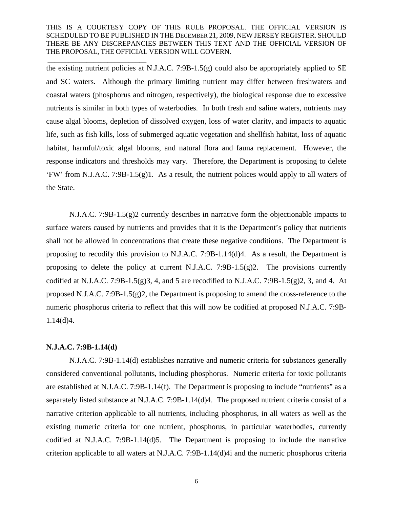the existing nutrient policies at N.J.A.C. 7:9B-1.5(g) could also be appropriately applied to SE and SC waters. Although the primary limiting nutrient may differ between freshwaters and coastal waters (phosphorus and nitrogen, respectively), the biological response due to excessive nutrients is similar in both types of waterbodies. In both fresh and saline waters, nutrients may cause algal blooms, depletion of dissolved oxygen, loss of water clarity, and impacts to aquatic life, such as fish kills, loss of submerged aquatic vegetation and shellfish habitat, loss of aquatic habitat, harmful/toxic algal blooms, and natural flora and fauna replacement. However, the response indicators and thresholds may vary. Therefore, the Department is proposing to delete 'FW' from N.J.A.C. 7:9B-1.5(g)1. As a result, the nutrient polices would apply to all waters of the State.

N.J.A.C. 7:9B-1.5(g)2 currently describes in narrative form the objectionable impacts to surface waters caused by nutrients and provides that it is the Department's policy that nutrients shall not be allowed in concentrations that create these negative conditions. The Department is proposing to recodify this provision to N.J.A.C. 7:9B-1.14(d)4. As a result, the Department is proposing to delete the policy at current N.J.A.C. 7:9B-1.5(g)2. The provisions currently codified at N.J.A.C. 7:9B-1.5(g)3, 4, and 5 are recodified to N.J.A.C. 7:9B-1.5(g)2, 3, and 4. At proposed N.J.A.C. 7:9B-1.5(g)2, the Department is proposing to amend the cross-reference to the numeric phosphorus criteria to reflect that this will now be codified at proposed N.J.A.C. 7:9B-1.14(d)4.

# **N.J.A.C. 7:9B-1.14(d)**

\_\_\_\_\_\_\_\_\_\_\_\_\_\_\_\_\_\_\_\_\_\_\_\_\_\_\_\_

N.J.A.C. 7:9B-1.14(d) establishes narrative and numeric criteria for substances generally considered conventional pollutants, including phosphorus. Numeric criteria for toxic pollutants are established at N.J.A.C. 7:9B-1.14(f). The Department is proposing to include "nutrients" as a separately listed substance at N.J.A.C. 7:9B-1.14(d)4. The proposed nutrient criteria consist of a narrative criterion applicable to all nutrients, including phosphorus, in all waters as well as the existing numeric criteria for one nutrient, phosphorus, in particular waterbodies, currently codified at N.J.A.C. 7:9B-1.14(d)5. The Department is proposing to include the narrative criterion applicable to all waters at N.J.A.C. 7:9B-1.14(d)4i and the numeric phosphorus criteria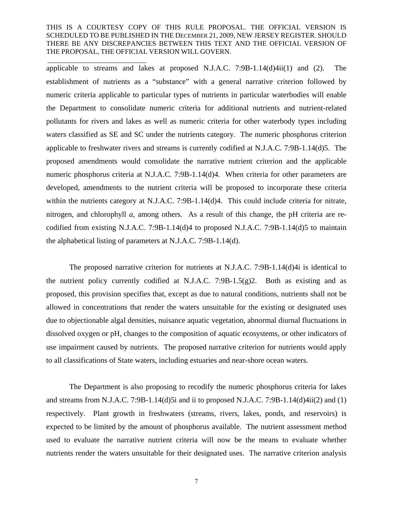\_\_\_\_\_\_\_\_\_\_\_\_\_\_\_\_\_\_\_\_\_\_\_\_\_\_\_\_

applicable to streams and lakes at proposed N.J.A.C. 7:9B-1.14(d)4ii(1) and (2). The establishment of nutrients as a "substance" with a general narrative criterion followed by numeric criteria applicable to particular types of nutrients in particular waterbodies will enable the Department to consolidate numeric criteria for additional nutrients and nutrient-related pollutants for rivers and lakes as well as numeric criteria for other waterbody types including waters classified as SE and SC under the nutrients category. The numeric phosphorus criterion applicable to freshwater rivers and streams is currently codified at N.J.A.C. 7:9B-1.14(d)5. The proposed amendments would consolidate the narrative nutrient criterion and the applicable numeric phosphorus criteria at N.J.A.C. 7:9B-1.14(d)4. When criteria for other parameters are developed, amendments to the nutrient criteria will be proposed to incorporate these criteria within the nutrients category at N.J.A.C. 7:9B-1.14(d)4. This could include criteria for nitrate, nitrogen, and chlorophyll *a*, among others. As a result of this change, the pH criteria are recodified from existing N.J.A.C. 7:9B-1.14(d)4 to proposed N.J.A.C. 7:9B-1.14(d)5 to maintain the alphabetical listing of parameters at N.J.A.C. 7:9B-1.14(d).

The proposed narrative criterion for nutrients at N.J.A.C. 7:9B-1.14(d)4i is identical to the nutrient policy currently codified at N.J.A.C. 7:9B-1.5(g)2. Both as existing and as proposed, this provision specifies that, except as due to natural conditions, nutrients shall not be allowed in concentrations that render the waters unsuitable for the existing or designated uses due to objectionable algal densities, nuisance aquatic vegetation, abnormal diurnal fluctuations in dissolved oxygen or pH, changes to the composition of aquatic ecosystems, or other indicators of use impairment caused by nutrients. The proposed narrative criterion for nutrients would apply to all classifications of State waters, including estuaries and near-shore ocean waters.

The Department is also proposing to recodify the numeric phosphorus criteria for lakes and streams from N.J.A.C. 7:9B-1.14(d)5i and ii to proposed N.J.A.C. 7:9B-1.14(d)4ii(2) and (1) respectively. Plant growth in freshwaters (streams, rivers, lakes, ponds, and reservoirs) is expected to be limited by the amount of phosphorus available. The nutrient assessment method used to evaluate the narrative nutrient criteria will now be the means to evaluate whether nutrients render the waters unsuitable for their designated uses. The narrative criterion analysis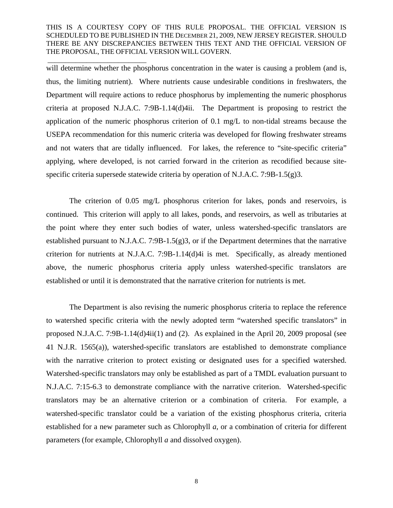\_\_\_\_\_\_\_\_\_\_\_\_\_\_\_\_\_\_\_\_\_\_\_\_\_\_\_\_

will determine whether the phosphorus concentration in the water is causing a problem (and is, thus, the limiting nutrient). Where nutrients cause undesirable conditions in freshwaters, the Department will require actions to reduce phosphorus by implementing the numeric phosphorus criteria at proposed N.J.A.C. 7:9B-1.14(d)4ii. The Department is proposing to restrict the application of the numeric phosphorus criterion of 0.1 mg/L to non-tidal streams because the USEPA recommendation for this numeric criteria was developed for flowing freshwater streams and not waters that are tidally influenced. For lakes, the reference to "site-specific criteria" applying, where developed, is not carried forward in the criterion as recodified because sitespecific criteria supersede statewide criteria by operation of N.J.A.C. 7:9B-1.5(g)3.

The criterion of 0.05 mg/L phosphorus criterion for lakes, ponds and reservoirs, is continued. This criterion will apply to all lakes, ponds, and reservoirs, as well as tributaries at the point where they enter such bodies of water, unless watershed-specific translators are established pursuant to N.J.A.C. 7:9B-1.5(g)3, or if the Department determines that the narrative criterion for nutrients at N.J.A.C. 7:9B-1.14(d)4i is met. Specifically, as already mentioned above, the numeric phosphorus criteria apply unless watershed-specific translators are established or until it is demonstrated that the narrative criterion for nutrients is met.

The Department is also revising the numeric phosphorus criteria to replace the reference to watershed specific criteria with the newly adopted term "watershed specific translators" in proposed N.J.A.C. 7:9B-1.14(d)4ii(1) and (2). As explained in the April 20, 2009 proposal (see 41 N.J.R. 1565(a)), watershed-specific translators are established to demonstrate compliance with the narrative criterion to protect existing or designated uses for a specified watershed. Watershed-specific translators may only be established as part of a TMDL evaluation pursuant to N.J.A.C. 7:15-6.3 to demonstrate compliance with the narrative criterion. Watershed-specific translators may be an alternative criterion or a combination of criteria. For example, a watershed-specific translator could be a variation of the existing phosphorus criteria, criteria established for a new parameter such as Chlorophyll *a*, or a combination of criteria for different parameters (for example, Chlorophyll *a* and dissolved oxygen).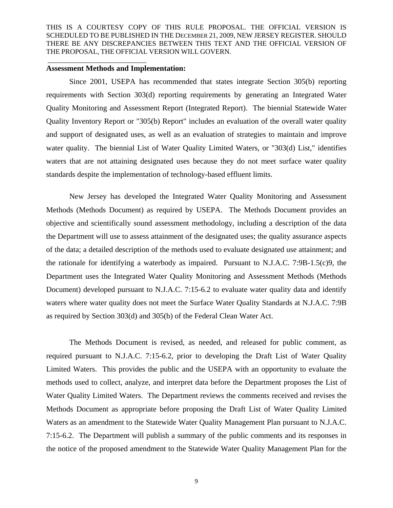#### **Assessment Methods and Implementation:**

\_\_\_\_\_\_\_\_\_\_\_\_\_\_\_\_\_\_\_\_\_\_\_\_\_\_\_\_

Since 2001, USEPA has recommended that states integrate Section 305(b) reporting requirements with Section 303(d) reporting requirements by generating an Integrated Water Quality Monitoring and Assessment Report (Integrated Report). The biennial Statewide Water Quality Inventory Report or "305(b) Report" includes an evaluation of the overall water quality and support of designated uses, as well as an evaluation of strategies to maintain and improve water quality. The biennial List of Water Quality Limited Waters, or "303(d) List," identifies waters that are not attaining designated uses because they do not meet surface water quality standards despite the implementation of technology-based effluent limits.

New Jersey has developed the Integrated Water Quality Monitoring and Assessment Methods (Methods Document) as required by USEPA. The Methods Document provides an objective and scientifically sound assessment methodology, including a description of the data the Department will use to assess attainment of the designated uses; the quality assurance aspects of the data; a detailed description of the methods used to evaluate designated use attainment; and the rationale for identifying a waterbody as impaired. Pursuant to N.J.A.C. 7:9B-1.5(c)9, the Department uses the Integrated Water Quality Monitoring and Assessment Methods (Methods Document) developed pursuant to N.J.A.C. 7:15-6.2 to evaluate water quality data and identify waters where water quality does not meet the Surface Water Quality Standards at N.J.A.C. 7:9B as required by Section 303(d) and 305(b) of the Federal Clean Water Act.

The Methods Document is revised, as needed, and released for public comment, as required pursuant to N.J.A.C. 7:15-6.2, prior to developing the Draft List of Water Quality Limited Waters. This provides the public and the USEPA with an opportunity to evaluate the methods used to collect, analyze, and interpret data before the Department proposes the List of Water Quality Limited Waters. The Department reviews the comments received and revises the Methods Document as appropriate before proposing the Draft List of Water Quality Limited Waters as an amendment to the Statewide Water Quality Management Plan pursuant to N.J.A.C. 7:15-6.2. The Department will publish a summary of the public comments and its responses in the notice of the proposed amendment to the Statewide Water Quality Management Plan for the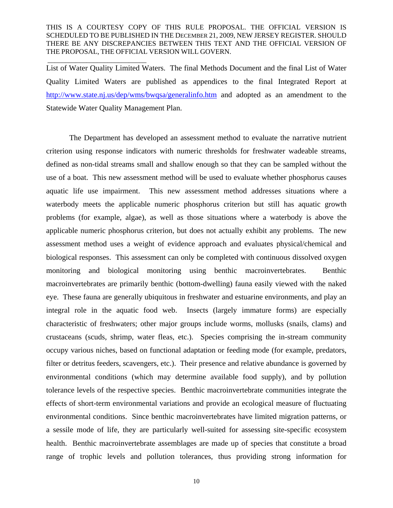\_\_\_\_\_\_\_\_\_\_\_\_\_\_\_\_\_\_\_\_\_\_\_\_\_\_\_\_

List of Water Quality Limited Waters. The final Methods Document and the final List of Water Quality Limited Waters are published as appendices to the final Integrated Report at http://www.state.nj.us/dep/wms/bwqsa/generalinfo.htm and adopted as an amendment to the Statewide Water Quality Management Plan.

The Department has developed an assessment method to evaluate the narrative nutrient criterion using response indicators with numeric thresholds for freshwater wadeable streams, defined as non-tidal streams small and shallow enough so that they can be sampled without the use of a boat. This new assessment method will be used to evaluate whether phosphorus causes aquatic life use impairment. This new assessment method addresses situations where a waterbody meets the applicable numeric phosphorus criterion but still has aquatic growth problems (for example, algae), as well as those situations where a waterbody is above the applicable numeric phosphorus criterion, but does not actually exhibit any problems. The new assessment method uses a weight of evidence approach and evaluates physical/chemical and biological responses. This assessment can only be completed with continuous dissolved oxygen monitoring and biological monitoring using benthic macroinvertebrates. Benthic macroinvertebrates are primarily benthic (bottom-dwelling) fauna easily viewed with the naked eye. These fauna are generally ubiquitous in freshwater and estuarine environments, and play an integral role in the aquatic food web. Insects (largely immature forms) are especially characteristic of freshwaters; other major groups include worms, mollusks (snails, clams) and crustaceans (scuds, shrimp, water fleas, etc.). Species comprising the in-stream community occupy various niches, based on functional adaptation or feeding mode (for example, predators, filter or detritus feeders, scavengers, etc.). Their presence and relative abundance is governed by environmental conditions (which may determine available food supply), and by pollution tolerance levels of the respective species. Benthic macroinvertebrate communities integrate the effects of short-term environmental variations and provide an ecological measure of fluctuating environmental conditions. Since benthic macroinvertebrates have limited migration patterns, or a sessile mode of life, they are particularly well-suited for assessing site-specific ecosystem health. Benthic macroinvertebrate assemblages are made up of species that constitute a broad range of trophic levels and pollution tolerances, thus providing strong information for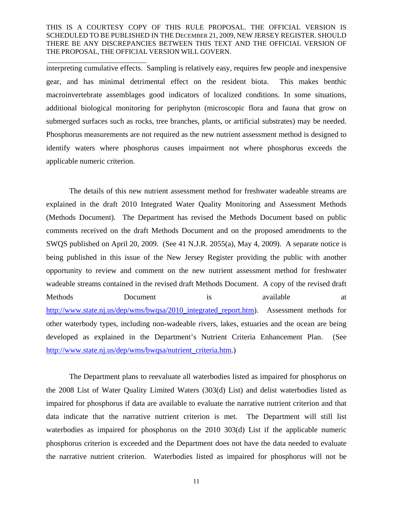\_\_\_\_\_\_\_\_\_\_\_\_\_\_\_\_\_\_\_\_\_\_\_\_\_\_\_\_

interpreting cumulative effects. Sampling is relatively easy, requires few people and inexpensive gear, and has minimal detrimental effect on the resident biota. This makes benthic macroinvertebrate assemblages good indicators of localized conditions. In some situations, additional biological monitoring for periphyton (microscopic flora and fauna that grow on submerged surfaces such as rocks, tree branches, plants, or artificial substrates) may be needed. Phosphorus measurements are not required as the new nutrient assessment method is designed to identify waters where phosphorus causes impairment not where phosphorus exceeds the applicable numeric criterion.

The details of this new nutrient assessment method for freshwater wadeable streams are explained in the draft 2010 Integrated Water Quality Monitoring and Assessment Methods (Methods Document). The Department has revised the Methods Document based on public comments received on the draft Methods Document and on the proposed amendments to the SWQS published on April 20, 2009. (See 41 N.J.R. 2055(a), May 4, 2009). A separate notice is being published in this issue of the New Jersey Register providing the public with another opportunity to review and comment on the new nutrient assessment method for freshwater wadeable streams contained in the revised draft Methods Document. A copy of the revised draft Methods Document is available at http://www.state.nj.us/dep/wms/bwqsa/2010\_integrated\_report.htm). Assessment methods for other waterbody types, including non-wadeable rivers, lakes, estuaries and the ocean are being developed as explained in the Department's Nutrient Criteria Enhancement Plan. (See http://www.state.nj.us/dep/wms/bwqsa/nutrient\_criteria.htm.)

The Department plans to reevaluate all waterbodies listed as impaired for phosphorus on the 2008 List of Water Quality Limited Waters (303(d) List) and delist waterbodies listed as impaired for phosphorus if data are available to evaluate the narrative nutrient criterion and that data indicate that the narrative nutrient criterion is met. The Department will still list waterbodies as impaired for phosphorus on the 2010 303(d) List if the applicable numeric phosphorus criterion is exceeded and the Department does not have the data needed to evaluate the narrative nutrient criterion. Waterbodies listed as impaired for phosphorus will not be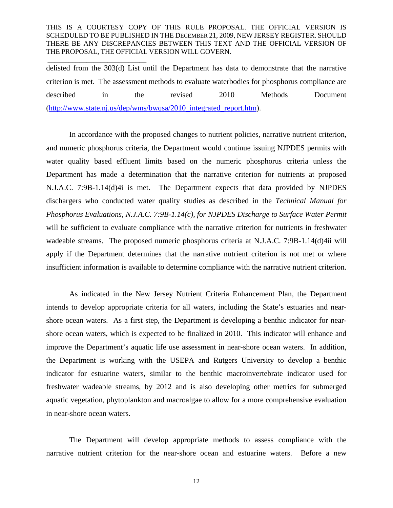\_\_\_\_\_\_\_\_\_\_\_\_\_\_\_\_\_\_\_\_\_\_\_\_\_\_\_\_

delisted from the 303(d) List until the Department has data to demonstrate that the narrative criterion is met. The assessment methods to evaluate waterbodies for phosphorus compliance are described in the revised 2010 Methods Document (http://www.state.nj.us/dep/wms/bwqsa/2010\_integrated\_report.htm).

In accordance with the proposed changes to nutrient policies, narrative nutrient criterion, and numeric phosphorus criteria, the Department would continue issuing NJPDES permits with water quality based effluent limits based on the numeric phosphorus criteria unless the Department has made a determination that the narrative criterion for nutrients at proposed N.J.A.C. 7:9B-1.14(d)4i is met. The Department expects that data provided by NJPDES dischargers who conducted water quality studies as described in the *Technical Manual for Phosphorus Evaluations, N.J.A.C. 7:9B-1.14(c), for NJPDES Discharge to Surface Water Permit* will be sufficient to evaluate compliance with the narrative criterion for nutrients in freshwater wadeable streams. The proposed numeric phosphorus criteria at N.J.A.C. 7:9B-1.14(d)4ii will apply if the Department determines that the narrative nutrient criterion is not met or where insufficient information is available to determine compliance with the narrative nutrient criterion.

As indicated in the New Jersey Nutrient Criteria Enhancement Plan, the Department intends to develop appropriate criteria for all waters, including the State's estuaries and nearshore ocean waters. As a first step, the Department is developing a benthic indicator for nearshore ocean waters, which is expected to be finalized in 2010. This indicator will enhance and improve the Department's aquatic life use assessment in near-shore ocean waters. In addition, the Department is working with the USEPA and Rutgers University to develop a benthic indicator for estuarine waters, similar to the benthic macroinvertebrate indicator used for freshwater wadeable streams, by 2012 and is also developing other metrics for submerged aquatic vegetation, phytoplankton and macroalgae to allow for a more comprehensive evaluation in near-shore ocean waters.

The Department will develop appropriate methods to assess compliance with the narrative nutrient criterion for the near-shore ocean and estuarine waters. Before a new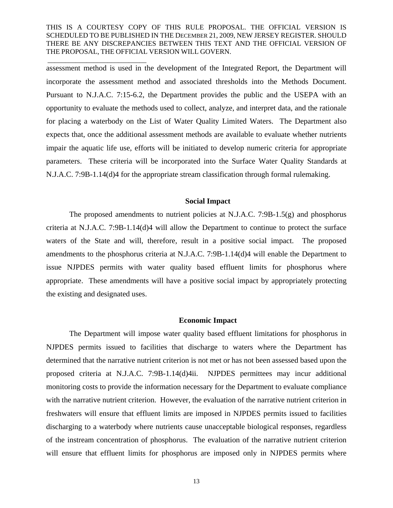\_\_\_\_\_\_\_\_\_\_\_\_\_\_\_\_\_\_\_\_\_\_\_\_\_\_\_\_

assessment method is used in the development of the Integrated Report, the Department will incorporate the assessment method and associated thresholds into the Methods Document. Pursuant to N.J.A.C. 7:15-6.2, the Department provides the public and the USEPA with an opportunity to evaluate the methods used to collect, analyze, and interpret data, and the rationale for placing a waterbody on the List of Water Quality Limited Waters. The Department also expects that, once the additional assessment methods are available to evaluate whether nutrients impair the aquatic life use, efforts will be initiated to develop numeric criteria for appropriate parameters. These criteria will be incorporated into the Surface Water Quality Standards at N.J.A.C. 7:9B-1.14(d)4 for the appropriate stream classification through formal rulemaking.

# **Social Impact**

The proposed amendments to nutrient policies at N.J.A.C. 7:9B-1.5(g) and phosphorus criteria at N.J.A.C. 7:9B-1.14(d)4 will allow the Department to continue to protect the surface waters of the State and will, therefore, result in a positive social impact. The proposed amendments to the phosphorus criteria at N.J.A.C. 7:9B-1.14(d)4 will enable the Department to issue NJPDES permits with water quality based effluent limits for phosphorus where appropriate. These amendments will have a positive social impact by appropriately protecting the existing and designated uses.

#### **Economic Impact**

The Department will impose water quality based effluent limitations for phosphorus in NJPDES permits issued to facilities that discharge to waters where the Department has determined that the narrative nutrient criterion is not met or has not been assessed based upon the proposed criteria at N.J.A.C. 7:9B-1.14(d)4ii. NJPDES permittees may incur additional monitoring costs to provide the information necessary for the Department to evaluate compliance with the narrative nutrient criterion. However, the evaluation of the narrative nutrient criterion in freshwaters will ensure that effluent limits are imposed in NJPDES permits issued to facilities discharging to a waterbody where nutrients cause unacceptable biological responses, regardless of the instream concentration of phosphorus. The evaluation of the narrative nutrient criterion will ensure that effluent limits for phosphorus are imposed only in NJPDES permits where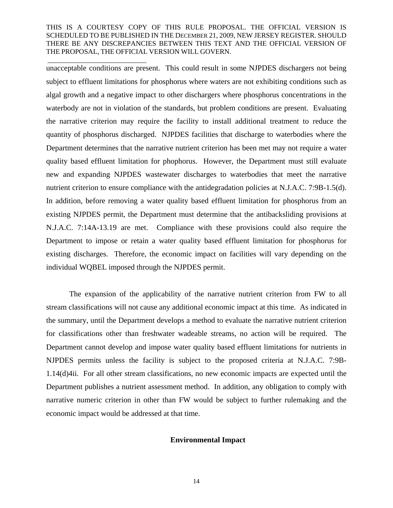\_\_\_\_\_\_\_\_\_\_\_\_\_\_\_\_\_\_\_\_\_\_\_\_\_\_\_\_

unacceptable conditions are present. This could result in some NJPDES dischargers not being subject to effluent limitations for phosphorus where waters are not exhibiting conditions such as algal growth and a negative impact to other dischargers where phosphorus concentrations in the waterbody are not in violation of the standards, but problem conditions are present. Evaluating the narrative criterion may require the facility to install additional treatment to reduce the quantity of phosphorus discharged. NJPDES facilities that discharge to waterbodies where the Department determines that the narrative nutrient criterion has been met may not require a water quality based effluent limitation for phophorus. However, the Department must still evaluate new and expanding NJPDES wastewater discharges to waterbodies that meet the narrative nutrient criterion to ensure compliance with the antidegradation policies at N.J.A.C. 7:9B-1.5(d). In addition, before removing a water quality based effluent limitation for phosphorus from an existing NJPDES permit, the Department must determine that the antibacksliding provisions at N.J.A.C. 7:14A-13.19 are met. Compliance with these provisions could also require the Department to impose or retain a water quality based effluent limitation for phosphorus for existing discharges. Therefore, the economic impact on facilities will vary depending on the individual WQBEL imposed through the NJPDES permit.

The expansion of the applicability of the narrative nutrient criterion from FW to all stream classifications will not cause any additional economic impact at this time. As indicated in the summary, until the Department develops a method to evaluate the narrative nutrient criterion for classifications other than freshwater wadeable streams, no action will be required. The Department cannot develop and impose water quality based effluent limitations for nutrients in NJPDES permits unless the facility is subject to the proposed criteria at N.J.A.C. 7:9B-1.14(d)4ii. For all other stream classifications, no new economic impacts are expected until the Department publishes a nutrient assessment method. In addition, any obligation to comply with narrative numeric criterion in other than FW would be subject to further rulemaking and the economic impact would be addressed at that time.

#### **Environmental Impact**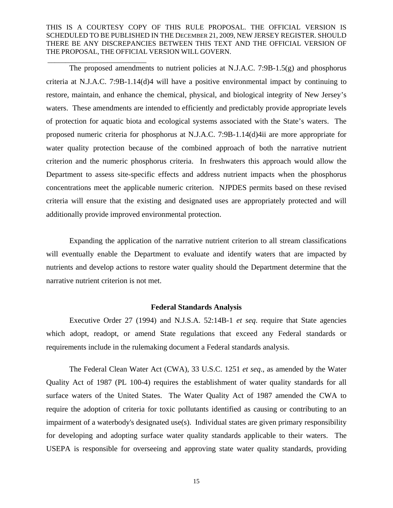\_\_\_\_\_\_\_\_\_\_\_\_\_\_\_\_\_\_\_\_\_\_\_\_\_\_\_\_

The proposed amendments to nutrient policies at N.J.A.C. 7:9B-1.5(g) and phosphorus criteria at N.J.A.C. 7:9B-1.14(d)4 will have a positive environmental impact by continuing to restore, maintain, and enhance the chemical, physical, and biological integrity of New Jersey's waters. These amendments are intended to efficiently and predictably provide appropriate levels of protection for aquatic biota and ecological systems associated with the State's waters. The proposed numeric criteria for phosphorus at N.J.A.C. 7:9B-1.14(d)4ii are more appropriate for water quality protection because of the combined approach of both the narrative nutrient criterion and the numeric phosphorus criteria. In freshwaters this approach would allow the Department to assess site-specific effects and address nutrient impacts when the phosphorus concentrations meet the applicable numeric criterion. NJPDES permits based on these revised criteria will ensure that the existing and designated uses are appropriately protected and will additionally provide improved environmental protection.

Expanding the application of the narrative nutrient criterion to all stream classifications will eventually enable the Department to evaluate and identify waters that are impacted by nutrients and develop actions to restore water quality should the Department determine that the narrative nutrient criterion is not met.

### **Federal Standards Analysis**

Executive Order 27 (1994) and N.J.S.A. 52:14B-1 *et seq*. require that State agencies which adopt, readopt, or amend State regulations that exceed any Federal standards or requirements include in the rulemaking document a Federal standards analysis.

The Federal Clean Water Act (CWA), 33 U.S.C. 1251 *et seq*., as amended by the Water Quality Act of 1987 (PL 100-4) requires the establishment of water quality standards for all surface waters of the United States. The Water Quality Act of 1987 amended the CWA to require the adoption of criteria for toxic pollutants identified as causing or contributing to an impairment of a waterbody's designated use $(s)$ . Individual states are given primary responsibility for developing and adopting surface water quality standards applicable to their waters. The USEPA is responsible for overseeing and approving state water quality standards, providing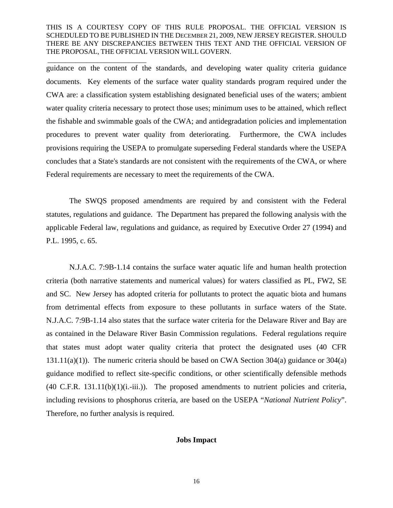\_\_\_\_\_\_\_\_\_\_\_\_\_\_\_\_\_\_\_\_\_\_\_\_\_\_\_\_

guidance on the content of the standards, and developing water quality criteria guidance documents. Key elements of the surface water quality standards program required under the CWA are: a classification system establishing designated beneficial uses of the waters; ambient water quality criteria necessary to protect those uses; minimum uses to be attained, which reflect the fishable and swimmable goals of the CWA; and antidegradation policies and implementation procedures to prevent water quality from deteriorating. Furthermore, the CWA includes provisions requiring the USEPA to promulgate superseding Federal standards where the USEPA concludes that a State's standards are not consistent with the requirements of the CWA, or where Federal requirements are necessary to meet the requirements of the CWA.

The SWQS proposed amendments are required by and consistent with the Federal statutes, regulations and guidance. The Department has prepared the following analysis with the applicable Federal law, regulations and guidance, as required by Executive Order 27 (1994) and P.L. 1995, c. 65.

N.J.A.C. 7:9B-1.14 contains the surface water aquatic life and human health protection criteria (both narrative statements and numerical values) for waters classified as PL, FW2, SE and SC. New Jersey has adopted criteria for pollutants to protect the aquatic biota and humans from detrimental effects from exposure to these pollutants in surface waters of the State. N.J.A.C. 7:9B-1.14 also states that the surface water criteria for the Delaware River and Bay are as contained in the Delaware River Basin Commission regulations. Federal regulations require that states must adopt water quality criteria that protect the designated uses (40 CFR 131.11(a)(1)). The numeric criteria should be based on CWA Section 304(a) guidance or 304(a) guidance modified to reflect site-specific conditions, or other scientifically defensible methods  $(40 \text{ C.F.R. } 131.11(b)(1)(i.-iii))$ . The proposed amendments to nutrient policies and criteria, including revisions to phosphorus criteria, are based on the USEPA "*National Nutrient Policy*". Therefore, no further analysis is required.

#### **Jobs Impact**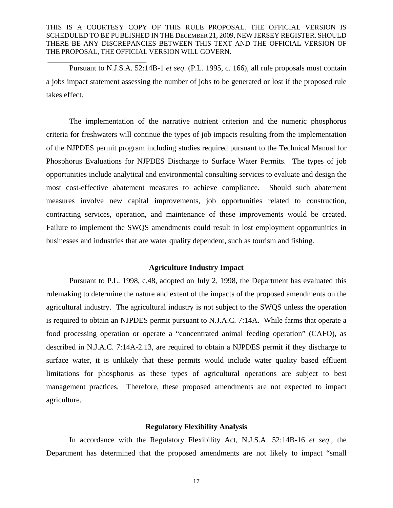\_\_\_\_\_\_\_\_\_\_\_\_\_\_\_\_\_\_\_\_\_\_\_\_\_\_\_\_

Pursuant to N.J.S.A. 52:14B-1 *et seq*. (P.L. 1995, c. 166), all rule proposals must contain a jobs impact statement assessing the number of jobs to be generated or lost if the proposed rule takes effect.

The implementation of the narrative nutrient criterion and the numeric phosphorus criteria for freshwaters will continue the types of job impacts resulting from the implementation of the NJPDES permit program including studies required pursuant to the Technical Manual for Phosphorus Evaluations for NJPDES Discharge to Surface Water Permits. The types of job opportunities include analytical and environmental consulting services to evaluate and design the most cost-effective abatement measures to achieve compliance. Should such abatement measures involve new capital improvements, job opportunities related to construction, contracting services, operation, and maintenance of these improvements would be created. Failure to implement the SWQS amendments could result in lost employment opportunities in businesses and industries that are water quality dependent, such as tourism and fishing.

#### **Agriculture Industry Impact**

Pursuant to P.L. 1998, c.48, adopted on July 2, 1998, the Department has evaluated this rulemaking to determine the nature and extent of the impacts of the proposed amendments on the agricultural industry. The agricultural industry is not subject to the SWQS unless the operation is required to obtain an NJPDES permit pursuant to N.J.A.C. 7:14A. While farms that operate a food processing operation or operate a "concentrated animal feeding operation" (CAFO), as described in N.J.A.C. 7:14A-2.13, are required to obtain a NJPDES permit if they discharge to surface water, it is unlikely that these permits would include water quality based effluent limitations for phosphorus as these types of agricultural operations are subject to best management practices. Therefore, these proposed amendments are not expected to impact agriculture.

### **Regulatory Flexibility Analysis**

In accordance with the Regulatory Flexibility Act, N.J.S.A. 52:14B-16 *et seq*., the Department has determined that the proposed amendments are not likely to impact "small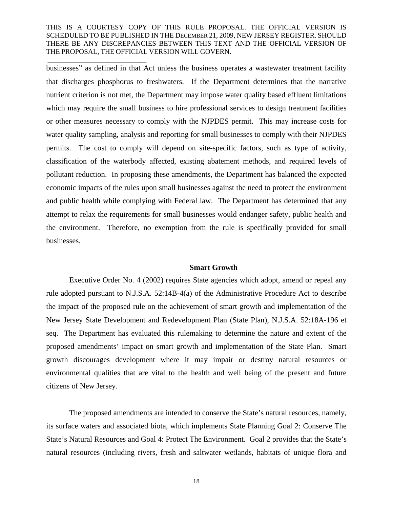\_\_\_\_\_\_\_\_\_\_\_\_\_\_\_\_\_\_\_\_\_\_\_\_\_\_\_\_

businesses" as defined in that Act unless the business operates a wastewater treatment facility that discharges phosphorus to freshwaters. If the Department determines that the narrative nutrient criterion is not met, the Department may impose water quality based effluent limitations which may require the small business to hire professional services to design treatment facilities or other measures necessary to comply with the NJPDES permit. This may increase costs for water quality sampling, analysis and reporting for small businesses to comply with their NJPDES permits. The cost to comply will depend on site-specific factors, such as type of activity, classification of the waterbody affected, existing abatement methods, and required levels of pollutant reduction. In proposing these amendments, the Department has balanced the expected economic impacts of the rules upon small businesses against the need to protect the environment and public health while complying with Federal law. The Department has determined that any attempt to relax the requirements for small businesses would endanger safety, public health and the environment. Therefore, no exemption from the rule is specifically provided for small businesses.

### **Smart Growth**

Executive Order No. 4 (2002) requires State agencies which adopt, amend or repeal any rule adopted pursuant to N.J.S.A. 52:14B-4(a) of the Administrative Procedure Act to describe the impact of the proposed rule on the achievement of smart growth and implementation of the New Jersey State Development and Redevelopment Plan (State Plan), N.J.S.A. 52:18A-196 et seq. The Department has evaluated this rulemaking to determine the nature and extent of the proposed amendments' impact on smart growth and implementation of the State Plan. Smart growth discourages development where it may impair or destroy natural resources or environmental qualities that are vital to the health and well being of the present and future citizens of New Jersey.

The proposed amendments are intended to conserve the State's natural resources, namely, its surface waters and associated biota, which implements State Planning Goal 2: Conserve The State's Natural Resources and Goal 4: Protect The Environment. Goal 2 provides that the State's natural resources (including rivers, fresh and saltwater wetlands, habitats of unique flora and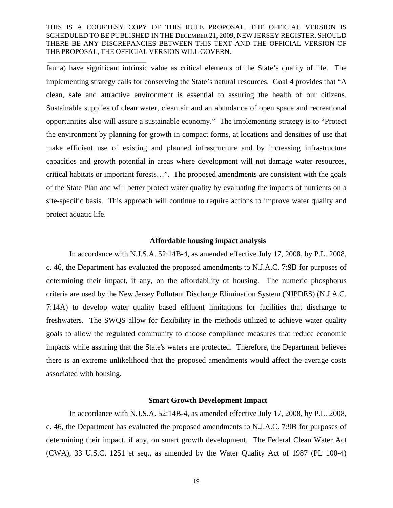\_\_\_\_\_\_\_\_\_\_\_\_\_\_\_\_\_\_\_\_\_\_\_\_\_\_\_\_

fauna) have significant intrinsic value as critical elements of the State's quality of life. The implementing strategy calls for conserving the State's natural resources. Goal 4 provides that "A clean, safe and attractive environment is essential to assuring the health of our citizens. Sustainable supplies of clean water, clean air and an abundance of open space and recreational opportunities also will assure a sustainable economy." The implementing strategy is to "Protect the environment by planning for growth in compact forms, at locations and densities of use that make efficient use of existing and planned infrastructure and by increasing infrastructure capacities and growth potential in areas where development will not damage water resources, critical habitats or important forests…". The proposed amendments are consistent with the goals of the State Plan and will better protect water quality by evaluating the impacts of nutrients on a site-specific basis. This approach will continue to require actions to improve water quality and protect aquatic life.

#### **Affordable housing impact analysis**

In accordance with N.J.S.A. 52:14B-4, as amended effective July 17, 2008, by P.L. 2008, c. 46, the Department has evaluated the proposed amendments to N.J.A.C. 7:9B for purposes of determining their impact, if any, on the affordability of housing. The numeric phosphorus criteria are used by the New Jersey Pollutant Discharge Elimination System (NJPDES) (N.J.A.C. 7:14A) to develop water quality based effluent limitations for facilities that discharge to freshwaters. The SWQS allow for flexibility in the methods utilized to achieve water quality goals to allow the regulated community to choose compliance measures that reduce economic impacts while assuring that the State's waters are protected. Therefore, the Department believes there is an extreme unlikelihood that the proposed amendments would affect the average costs associated with housing.

#### **Smart Growth Development Impact**

In accordance with N.J.S.A. 52:14B-4, as amended effective July 17, 2008, by P.L. 2008, c. 46, the Department has evaluated the proposed amendments to N.J.A.C. 7:9B for purposes of determining their impact, if any, on smart growth development. The Federal Clean Water Act (CWA), 33 U.S.C. 1251 et seq., as amended by the Water Quality Act of 1987 (PL 100-4)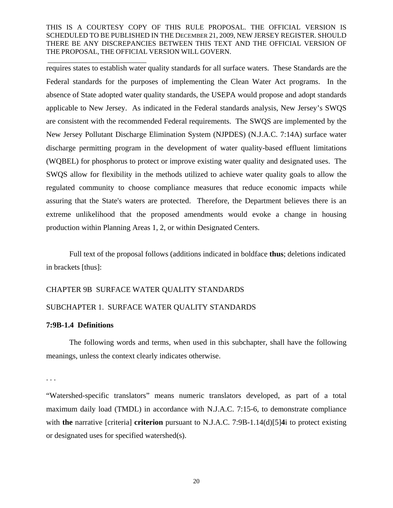requires states to establish water quality standards for all surface waters. These Standards are the Federal standards for the purposes of implementing the Clean Water Act programs. In the absence of State adopted water quality standards, the USEPA would propose and adopt standards applicable to New Jersey. As indicated in the Federal standards analysis, New Jersey's SWQS are consistent with the recommended Federal requirements. The SWQS are implemented by the New Jersey Pollutant Discharge Elimination System (NJPDES) (N.J.A.C. 7:14A) surface water discharge permitting program in the development of water quality-based effluent limitations (WQBEL) for phosphorus to protect or improve existing water quality and designated uses. The SWQS allow for flexibility in the methods utilized to achieve water quality goals to allow the regulated community to choose compliance measures that reduce economic impacts while assuring that the State's waters are protected. Therefore, the Department believes there is an extreme unlikelihood that the proposed amendments would evoke a change in housing production within Planning Areas 1, 2, or within Designated Centers.

Full text of the proposal follows (additions indicated in boldface **thus**; deletions indicated in brackets [thus]:

## CHAPTER 9B SURFACE WATER QUALITY STANDARDS

# SUBCHAPTER 1. SURFACE WATER QUALITY STANDARDS

# **7:9B-1.4 Definitions**

\_\_\_\_\_\_\_\_\_\_\_\_\_\_\_\_\_\_\_\_\_\_\_\_\_\_\_\_

The following words and terms, when used in this subchapter, shall have the following meanings, unless the context clearly indicates otherwise.

. . .

"Watershed-specific translators" means numeric translators developed, as part of a total maximum daily load (TMDL) in accordance with N.J.A.C. 7:15-6, to demonstrate compliance with **the** narrative [criteria] **criterion** pursuant to N.J.A.C. 7:9B-1.14(d)[5]**4**i to protect existing or designated uses for specified watershed(s).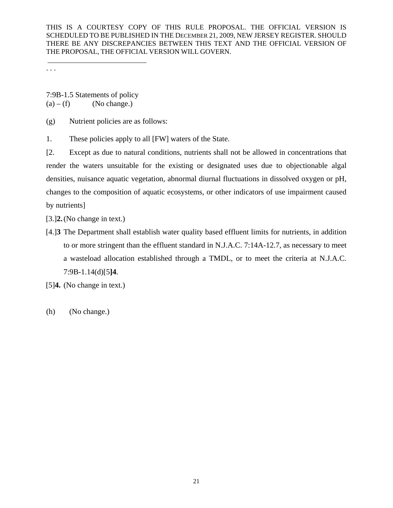. . .

7:9B-1.5 Statements of policy  $(a) - (f)$  (No change.)

\_\_\_\_\_\_\_\_\_\_\_\_\_\_\_\_\_\_\_\_\_\_\_\_\_\_\_\_

(g) Nutrient policies are as follows:

1. These policies apply to all [FW] waters of the State.

[2. Except as due to natural conditions, nutrients shall not be allowed in concentrations that render the waters unsuitable for the existing or designated uses due to objectionable algal densities, nuisance aquatic vegetation, abnormal diurnal fluctuations in dissolved oxygen or pH, changes to the composition of aquatic ecosystems, or other indicators of use impairment caused by nutrients]

[3.]**2.** (No change in text.)

[4.]**3** The Department shall establish water quality based effluent limits for nutrients, in addition to or more stringent than the effluent standard in N.J.A.C. 7:14A-12.7, as necessary to meet a wasteload allocation established through a TMDL, or to meet the criteria at N.J.A.C. 7:9B-1.14(d)[5**]4**.

[5]**4.** (No change in text.)

(h) (No change.)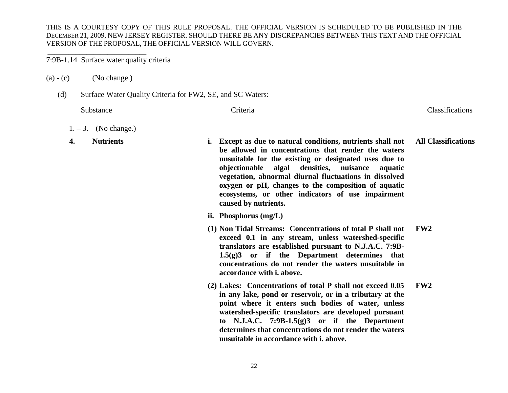7:9B-1.14 Surface water quality criteria

 $(a) - (c)$  (No change.)

(d) Surface Water Quality Criteria for FW2, SE, and SC Waters:

Substance Criteria Criteria Criteria Classifications Criteria Classifications Control Classifications Classifications

- $1. 3.$  (No change.)
- **4.Nutrients**

 **i. Except as due to natural conditions, nutrients shall not be allowed in concentrations that render the waters unsuitable for the existing or designated uses due to objectionable algal densities, nuisance aquatic vegetation, abnormal diurnal fluctuations in dissolved oxygen or pH, changes to the composition of aquatic ecosystems, or other indicators of use impairment caused by nutrients. All Classifications** 

**ii. Phosphorus (mg/L)** 

- **(1) Non Tidal Streams: Concentrations of total P shall not exceed 0.1 in any stream, unless watershed-specific translators are established pursuant to N.J.A.C. 7:9B-1.5(g)3 or if the Department determines that concentrations do not render the waters unsuitable in accordance with i. above. FW2**
- **(2) Lakes: Concentrations of total P shall not exceed 0.05 in any lake, pond or reservoir, or in a tributary at the point where it enters such bodies of water, unless watershed-specific translators are developed pursuant to N.J.A.C. 7:9B-1.5(g)3 or if the Department determines that concentrations do not render the waters unsuitable in accordance with i. above. FW2**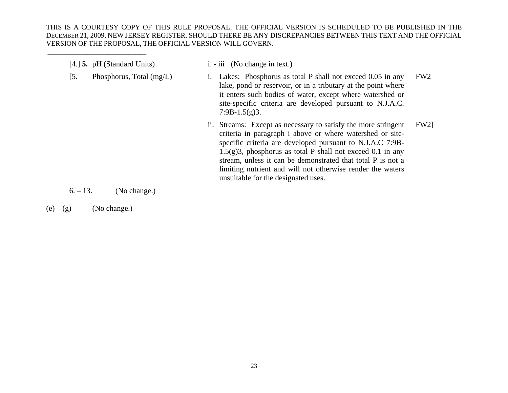| $[4.]$ 5. pH (Standard Units)     | $i. - iii$ (No change in text.)                                                                                                                                                                                                                                                                                                                                                                                                              |
|-----------------------------------|----------------------------------------------------------------------------------------------------------------------------------------------------------------------------------------------------------------------------------------------------------------------------------------------------------------------------------------------------------------------------------------------------------------------------------------------|
| $[5]$<br>Phosphorus, Total (mg/L) | FW <sub>2</sub><br>Lakes: Phosphorus as total P shall not exceed 0.05 in any<br>lake, pond or reservoir, or in a tributary at the point where<br>it enters such bodies of water, except where watershed or<br>site-specific criteria are developed pursuant to N.J.A.C.<br>$7:9B-1.5(g)3.$                                                                                                                                                   |
|                                   | <b>FW21</b><br>ii. Streams: Except as necessary to satisfy the more stringent<br>criteria in paragraph i above or where watershed or site-<br>specific criteria are developed pursuant to N.J.A.C 7:9B-<br>$1.5(g)3$ , phosphorus as total P shall not exceed 0.1 in any<br>stream, unless it can be demonstrated that total P is not a<br>limiting nutrient and will not otherwise render the waters<br>unsuitable for the designated uses. |

 $6. - 13.$  (No change.)

 $(e) - (g)$  (No change.)